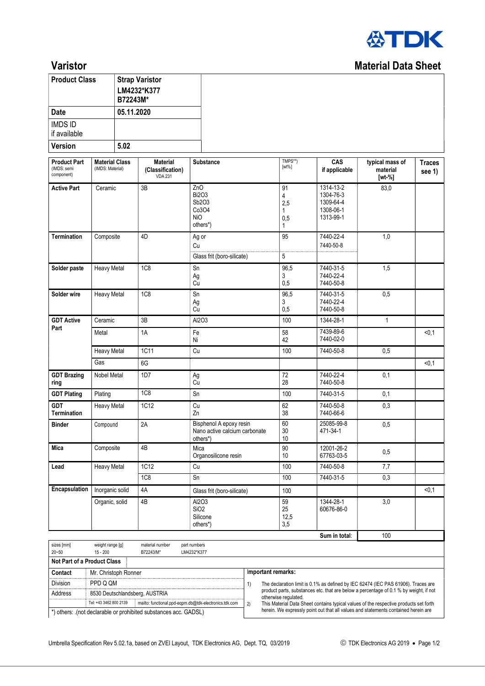

## **Varistor** Material Data Sheet

| <b>Product Class</b>           | <b>Strap Varistor</b><br>LM4232*K377<br>B72243M* |
|--------------------------------|--------------------------------------------------|
| Date                           | 05.11.2020                                       |
| <b>IMDS ID</b><br>if available |                                                  |
| <b>Version</b>                 | 5.02                                             |

| <b>Product Part</b><br>(IMDS: semi<br>component) | <b>Material Class</b><br>(IMDS: Material) | <b>Material</b><br>(Classification)<br><b>VDA 231</b> | <b>Substance</b>                                                     | TMPS**)<br>$[wt\%]$                        | CAS<br>if applicable                                          | typical mass of<br>material<br>$[wt-%]$ | <b>Traces</b><br>see 1) |
|--------------------------------------------------|-------------------------------------------|-------------------------------------------------------|----------------------------------------------------------------------|--------------------------------------------|---------------------------------------------------------------|-----------------------------------------|-------------------------|
| <b>Active Part</b>                               | Ceramic                                   | 3B                                                    | ZnO<br><b>Bi2O3</b><br>Sb2O3<br>Co3O4<br><b>NiO</b><br>others*)      | 91<br>4<br>2,5<br>$\mathbf{1}$<br>0,5<br>1 | 1314-13-2<br>1304-76-3<br>1309-64-4<br>1308-06-1<br>1313-99-1 | 83,0                                    |                         |
| <b>Termination</b>                               | Composite                                 | 4D                                                    | Ag or<br>Cu<br>Glass frit (boro-silicate)                            | 95<br>5                                    | 7440-22-4<br>7440-50-8                                        | 1,0                                     |                         |
| Solder paste                                     | <b>Heavy Metal</b>                        | <b>1C8</b>                                            | Sn<br>Ag<br>Cu                                                       | 96,5<br>3<br>0,5                           | 7440-31-5<br>7440-22-4<br>7440-50-8                           | 1,5                                     |                         |
| Solder wire                                      | <b>Heavy Metal</b>                        | <b>1C8</b>                                            | Sn<br>Ag<br>Cu                                                       | 96,5<br>3<br>0,5                           | 7440-31-5<br>7440-22-4<br>7440-50-8                           | 0,5                                     |                         |
| <b>GDT Active</b>                                | Ceramic                                   | 3B                                                    | Al2O3                                                                | 100                                        | 1344-28-1                                                     | $\mathbf{1}$                            |                         |
| Part                                             | Metal                                     | 1A                                                    | Fe<br>Ni                                                             | 58<br>42                                   | 7439-89-6<br>7440-02-0                                        |                                         | < 0, 1                  |
|                                                  | <b>Heavy Metal</b>                        | 1C11                                                  | Cu                                                                   | 100                                        | 7440-50-8                                                     | 0,5                                     |                         |
|                                                  | Gas                                       | 6G                                                    |                                                                      |                                            |                                                               |                                         | < 0.1                   |
| <b>GDT Brazing</b><br>ring                       | Nobel Metal                               | 1D7                                                   | Ag<br>Cu                                                             | 72<br>28                                   | 7440-22-4<br>7440-50-8                                        | 0,1                                     |                         |
| <b>GDT Plating</b>                               | Plating                                   | <b>1C8</b>                                            | Sn                                                                   | 100                                        | 7440-31-5                                                     | 0,1                                     |                         |
| <b>GDT</b><br><b>Termination</b>                 | <b>Heavy Metal</b>                        | 1C12                                                  | Cu<br>Zn                                                             | 62<br>38                                   | 7440-50-8<br>7440-66-6                                        | 0,3                                     |                         |
| <b>Binder</b>                                    | Compound                                  | 2A                                                    | Bisphenol A epoxy resin<br>Nano active calcium carbonate<br>others*) | 60<br>30<br>10                             | 25085-99-8<br>471-34-1                                        | 0,5                                     |                         |
| Mica                                             | Composite                                 | 4B                                                    | Mica<br>Organosilicone resin                                         | 90<br>10                                   | 12001-26-2<br>67763-03-5                                      | 0,5                                     |                         |
| Lead                                             | <b>Heavy Metal</b>                        | 1C12                                                  | Cu                                                                   | 100                                        | 7440-50-8                                                     | 7,7                                     |                         |
|                                                  |                                           | <b>1C8</b>                                            | Sn                                                                   | 100                                        | 7440-31-5                                                     | 0,3                                     |                         |
| Encapsulation                                    | Inorganic solid                           | 4A                                                    | Glass frit (boro-silicate)                                           | 100                                        |                                                               |                                         | < 0.1                   |
|                                                  | Organic, solid                            | 4B                                                    | Al2O3<br>SiO <sub>2</sub><br>Silicone<br>others*)                    | 59<br>25<br>12,5<br>3,5                    | 1344-28-1<br>60676-86-0                                       | 3,0                                     |                         |
|                                                  |                                           |                                                       |                                                                      |                                            | Sum in total:                                                 | 100                                     |                         |
| sizes [mm]                                       | weight range [g]                          | material number                                       | part numbers                                                         |                                            |                                                               |                                         |                         |

| $20 - 50$                                                       | $15 - 200$                     | B72243/M* | LM4232*K377                                                                        |    |                                                                                                               |  |  |  |
|-----------------------------------------------------------------|--------------------------------|-----------|------------------------------------------------------------------------------------|----|---------------------------------------------------------------------------------------------------------------|--|--|--|
| Not Part of a Product Class                                     |                                |           |                                                                                    |    |                                                                                                               |  |  |  |
| Contact                                                         | Mr. Christoph Ronner           |           | Important remarks:                                                                 |    |                                                                                                               |  |  |  |
| Division                                                        | PPD Q QM                       |           |                                                                                    |    | The declaration limit is 0.1% as defined by IEC 62474 (IEC PAS 61906). Traces are                             |  |  |  |
| Address                                                         | 8530 Deutschlandsberg, AUSTRIA |           |                                                                                    |    | product parts, substances etc. that are below a percentage of 0.1 % by weight, if not<br>otherwise regulated. |  |  |  |
|                                                                 | Tel: +43 3462 800 2139         |           | mailto: functional.ppd-eqpm.db@tdk-electronics.tdk.com                             | 2) | This Material Data Sheet contains typical values of the respective products set forth                         |  |  |  |
| *) others: (not declarable or prohibited substances acc. GADSL) |                                |           | herein. We expressly point out that all values and statements contained herein are |    |                                                                                                               |  |  |  |